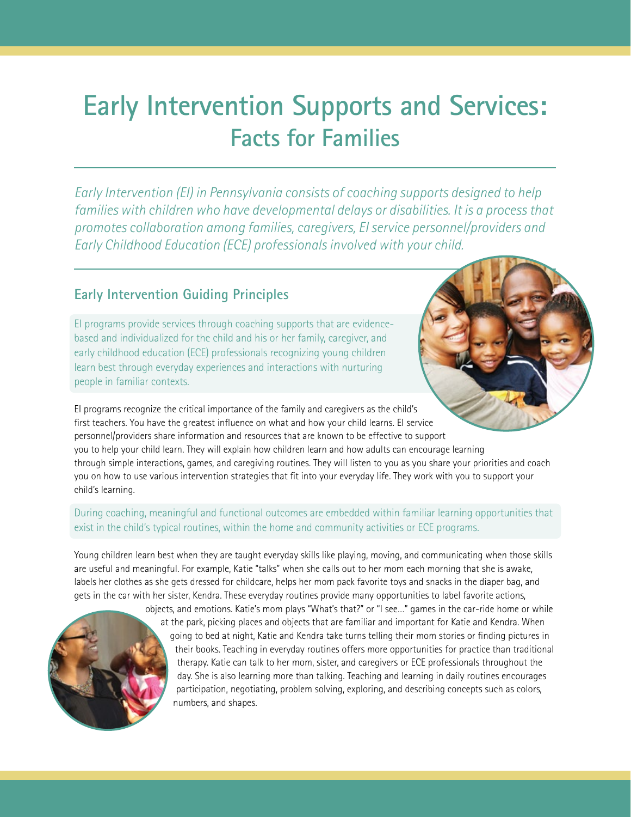## **Early Intervention Supports and Services: Facts for Families**

*Early Intervention (EI) in Pennsylvania consists of coaching supports designed to help families with children who have developmental delays or disabilities. It is a process that promotes collaboration among families, caregivers, EI service personnel/providers and Early Childhood Education (ECE) professionals involved with your child.*

## **Early Intervention Guiding Principles**

EI programs provide services through coaching supports that are evidencebased and individualized for the child and his or her family, caregiver, and early childhood education (ECE) professionals recognizing young children learn best through everyday experiences and interactions with nurturing people in familiar contexts.

EI programs recognize the critical importance of the family and caregivers as the child's first teachers. You have the greatest influence on what and how your child learns. EI service personnel/providers share information and resources that are known to be effective to support you to help your child learn. They will explain how children learn and how adults can encourage learning through simple interactions, games, and caregiving routines. They will listen to you as you share your priorities and coach you on how to use various intervention strategies that fit into your everyday life. They work with you to support your child's learning.

## During coaching, meaningful and functional outcomes are embedded within familiar learning opportunities that exist in the child's typical routines, within the home and community activities or ECE programs.

Young children learn best when they are taught everyday skills like playing, moving, and communicating when those skills are useful and meaningful. For example, Katie "talks" when she calls out to her mom each morning that she is awake, labels her clothes as she gets dressed for childcare, helps her mom pack favorite toys and snacks in the diaper bag, and gets in the car with her sister, Kendra. These everyday routines provide many opportunities to label favorite actions,



objects, and emotions. Katie's mom plays "What's that?" or "I see…" games in the car-ride home or while at the park, picking places and objects that are familiar and important for Katie and Kendra. When going to bed at night, Katie and Kendra take turns telling their mom stories or finding pictures in their books. Teaching in everyday routines offers more opportunities for practice than traditional therapy. Katie can talk to her mom, sister, and caregivers or ECE professionals throughout the day. She is also learning more than talking. Teaching and learning in daily routines encourages participation, negotiating, problem solving, exploring, and describing concepts such as colors, numbers, and shapes.